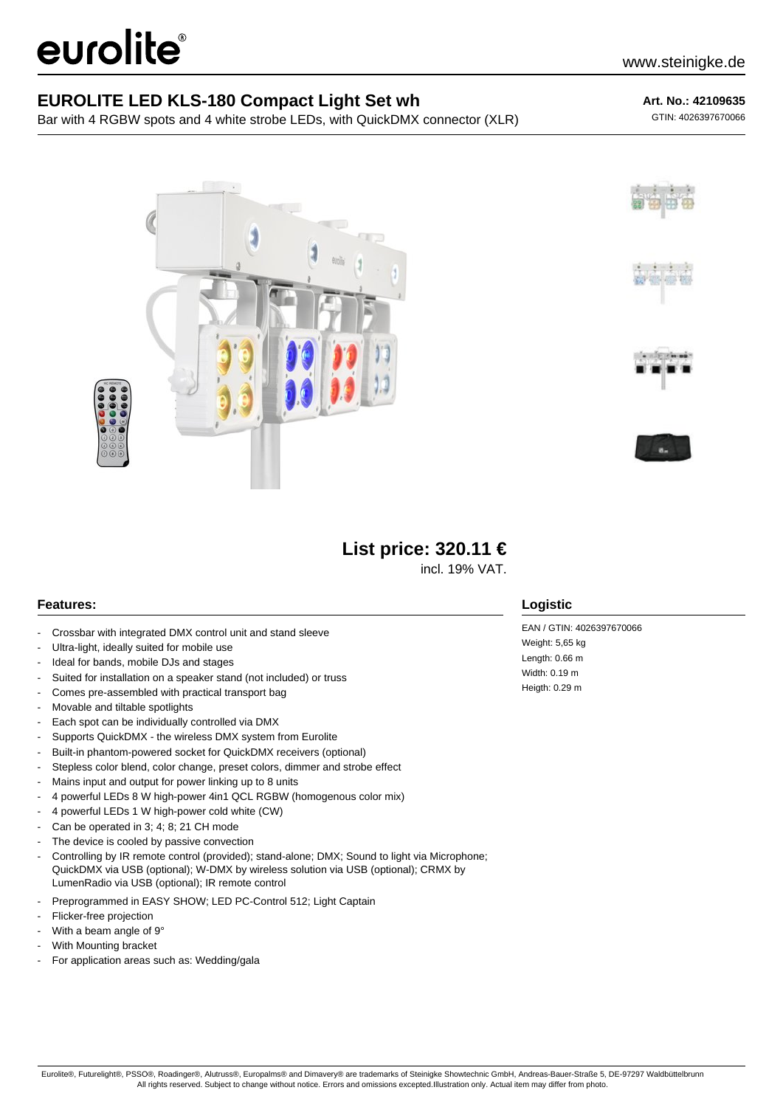# eurolite®

## **EUROLITE LED KLS-180 Compact Light Set wh**

Bar with 4 RGBW spots and 4 white strobe LEDs, with QuickDMX connector (XLR)

### **Art. No.: 42109635**

GTIN: 4026397670066







# **List price: 320.11 €**

incl. 19% VAT.

### **Features:**

- Crossbar with integrated DMX control unit and stand sleeve
- Ultra-light, ideally suited for mobile use
- Ideal for bands, mobile DJs and stages
- Suited for installation on a speaker stand (not included) or truss
- Comes pre-assembled with practical transport bag
- Movable and tiltable spotlights
- Each spot can be individually controlled via DMX
- Supports QuickDMX the wireless DMX system from Eurolite
- Built-in phantom-powered socket for QuickDMX receivers (optional)
- Stepless color blend, color change, preset colors, dimmer and strobe effect
- Mains input and output for power linking up to 8 units
- 4 powerful LEDs 8 W high-power 4in1 QCL RGBW (homogenous color mix)
- 4 powerful LEDs 1 W high-power cold white (CW)
- Can be operated in 3; 4; 8; 21 CH mode
- The device is cooled by passive convection
- Controlling by IR remote control (provided); stand-alone; DMX; Sound to light via Microphone; QuickDMX via USB (optional); W-DMX by wireless solution via USB (optional); CRMX by LumenRadio via USB (optional); IR remote control
- Preprogrammed in EASY SHOW; LED PC-Control 512; Light Captain
- Flicker-free projection
- With a beam angle of  $9°$
- With Mounting bracket
- For application areas such as: Wedding/gala

## **Logistic**

EAN / GTIN: 4026397670066 Weight: 5,65 kg Length: 0.66 m Width: 0.19 m Heigth: 0.29 m

Eurolite®, Futurelight®, PSSO®, Roadinger®, Alutruss®, Europalms® and Dimavery® are trademarks of Steinigke Showtechnic GmbH, Andreas-Bauer-Straße 5, DE-97297 Waldbüttelbrunn All rights reserved. Subject to change without notice. Errors and omissions excepted.Illustration only. Actual item may differ from photo.